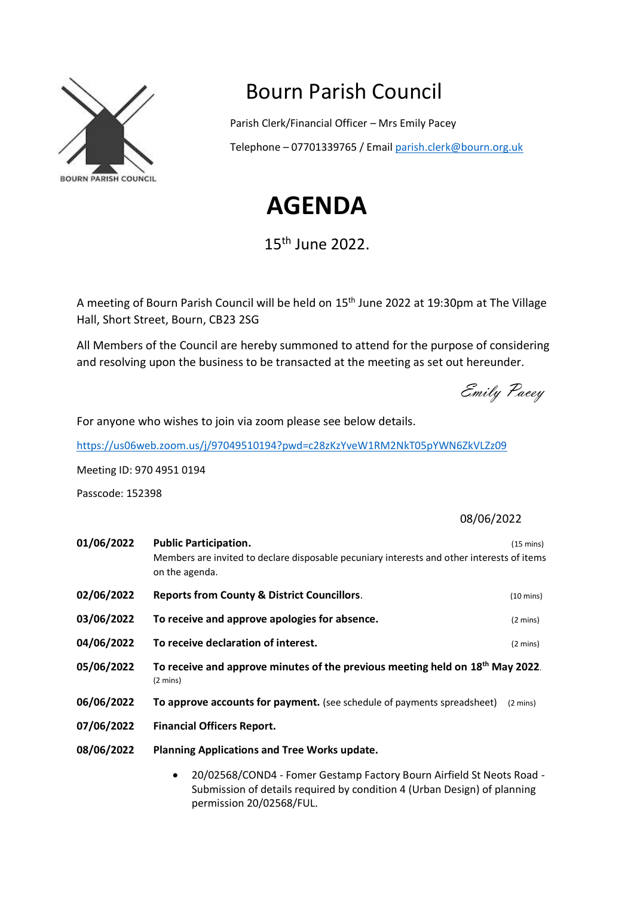

## Bourn Parish Council

Parish Clerk/Financial Officer – Mrs Emily Pacey

Telephone – 07701339765 / Email [parish.clerk@bourn.org.uk](mailto:parish.clerk@bourn.org.uk)

## **AGENDA**

15th June 2022.

A meeting of Bourn Parish Council will be held on 15th June 2022 at 19:30pm at The Village Hall, Short Street, Bourn, CB23 2SG

All Members of the Council are hereby summoned to attend for the purpose of considering and resolving upon the business to be transacted at the meeting as set out hereunder.

Emily Pacey

For anyone who wishes to join via zoom please see below details.

<https://us06web.zoom.us/j/97049510194?pwd=c28zKzYveW1RM2NkT05pYWN6ZkVLZz09>

Meeting ID: 970 4951 0194

Passcode: 152398

08/06/2022

| 01/06/2022 | <b>Public Participation.</b><br>Members are invited to declare disposable pecuniary interests and other interests of items<br>on the agenda. | $(15 \text{ mins})$ |
|------------|----------------------------------------------------------------------------------------------------------------------------------------------|---------------------|
| 02/06/2022 | <b>Reports from County &amp; District Councillors.</b>                                                                                       | $(10 \text{ mins})$ |
| 03/06/2022 | To receive and approve apologies for absence.                                                                                                | $(2 \text{ mins})$  |
| 04/06/2022 | To receive declaration of interest.                                                                                                          | $(2 \text{ mins})$  |
| 05/06/2022 | To receive and approve minutes of the previous meeting held on 18 <sup>th</sup> May 2022.<br>$(2 \text{ mins})$                              |                     |
| 06/06/2022 | To approve accounts for payment. (see schedule of payments spreadsheet)                                                                      | $(2 \text{ mins})$  |
| 07/06/2022 | <b>Financial Officers Report.</b>                                                                                                            |                     |
| 08/06/2022 | <b>Planning Applications and Tree Works update.</b>                                                                                          |                     |
|            | 20/02569/60ND4 Famor Costamn Fastary Bourn Airfield Ct Noate Boad                                                                            |                     |

• 20/02568/COND4 - Fomer Gestamp Factory Bourn Airfield St Neots Road - Submission of details required by condition 4 (Urban Design) of planning permission 20/02568/FUL.